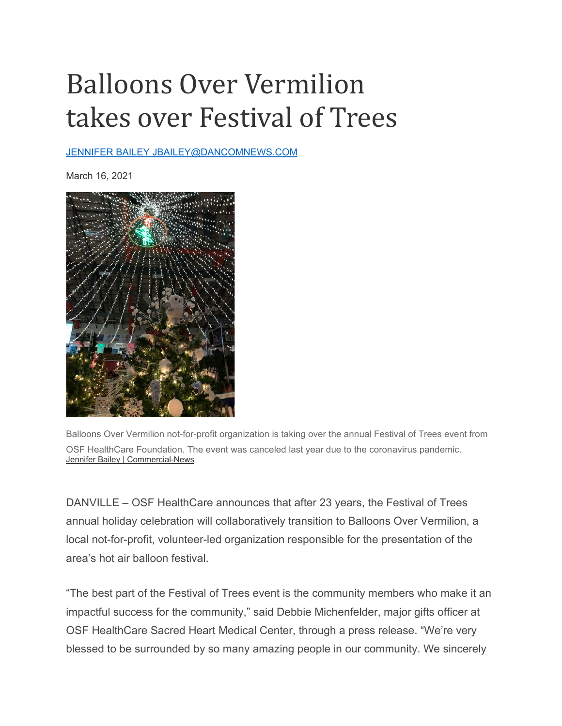## Balloons Over Vermilion takes over Festival of Trees

## [JENNIFER BAILEY JBAILEY@DANCOMNEWS.COM](mailto:JENNIFER%20BAILEY%20JBAILEY@DANCOMNEWS.COM)

March 16, 2021



Balloons Over Vermilion not-for-profit organization is taking over the annual Festival of Trees event from OSF HealthCare Foundation. The event was canceled last year due to the coronavirus pandemic. [Jennifer Bailey | Commercial-News](https://www.commercial-news.com/users/profile/Jennifer%20Bailey)

DANVILLE – OSF HealthCare announces that after 23 years, the Festival of Trees annual holiday celebration will collaboratively transition to Balloons Over Vermilion, a local not-for-profit, volunteer-led organization responsible for the presentation of the area's hot air balloon festival.

"The best part of the Festival of Trees event is the community members who make it an impactful success for the community," said Debbie Michenfelder, major gifts officer at OSF HealthCare Sacred Heart Medical Center, through a press release. "We're very blessed to be surrounded by so many amazing people in our community. We sincerely